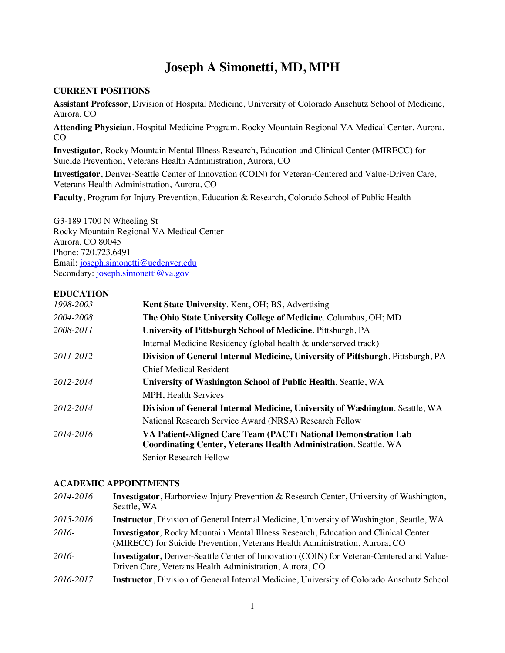# **Joseph A Simonetti, MD, MPH**

### **CURRENT POSITIONS**

**Assistant Professor**, Division of Hospital Medicine, University of Colorado Anschutz School of Medicine, Aurora, CO

**Attending Physician**, Hospital Medicine Program, Rocky Mountain Regional VA Medical Center, Aurora, CO

**Investigator***,* Rocky Mountain Mental Illness Research, Education and Clinical Center (MIRECC) for Suicide Prevention, Veterans Health Administration, Aurora, CO

**Investigator**, Denver-Seattle Center of Innovation (COIN) for Veteran-Centered and Value-Driven Care, Veterans Health Administration, Aurora, CO

**Faculty**, Program for Injury Prevention, Education & Research, Colorado School of Public Health

G3-189 1700 N Wheeling St Rocky Mountain Regional VA Medical Center Aurora, CO 80045 Phone: 720.723.6491 Email: joseph.simonetti@ucdenver.edu Secondary: joseph.simonetti@va.gov

# **EDUCATION**

| 1998-2003 | <b>Kent State University.</b> Kent, OH; BS, Advertising                                                                                   |
|-----------|-------------------------------------------------------------------------------------------------------------------------------------------|
| 2004-2008 | The Ohio State University College of Medicine. Columbus, OH; MD                                                                           |
| 2008-2011 | University of Pittsburgh School of Medicine. Pittsburgh, PA                                                                               |
|           | Internal Medicine Residency (global health & underserved track)                                                                           |
| 2011-2012 | Division of General Internal Medicine, University of Pittsburgh. Pittsburgh, PA                                                           |
|           | <b>Chief Medical Resident</b>                                                                                                             |
| 2012-2014 | University of Washington School of Public Health. Seattle, WA                                                                             |
|           | <b>MPH, Health Services</b>                                                                                                               |
| 2012-2014 | Division of General Internal Medicine, University of Washington. Seattle, WA                                                              |
|           | National Research Service Award (NRSA) Research Fellow                                                                                    |
| 2014-2016 | VA Patient-Aligned Care Team (PACT) National Demonstration Lab<br><b>Coordinating Center, Veterans Health Administration. Seattle, WA</b> |
|           | Senior Research Fellow                                                                                                                    |

# **ACADEMIC APPOINTMENTS**

| 2014-2016 | <b>Investigator</b> , Harborview Injury Prevention & Research Center, University of Washington,<br>Seattle, WA                                                            |
|-----------|---------------------------------------------------------------------------------------------------------------------------------------------------------------------------|
| 2015-2016 | <b>Instructor</b> , Division of General Internal Medicine, University of Washington, Seattle, WA                                                                          |
| 2016-     | <b>Investigator, Rocky Mountain Mental Illness Research, Education and Clinical Center</b><br>(MIRECC) for Suicide Prevention, Veterans Health Administration, Aurora, CO |
| 2016-     | <b>Investigator, Denver-Seattle Center of Innovation (COIN) for Veteran-Centered and Value-</b><br>Driven Care, Veterans Health Administration, Aurora, CO                |
| 2016-2017 | <b>Instructor</b> , Division of General Internal Medicine, University of Colorado Anschutz School                                                                         |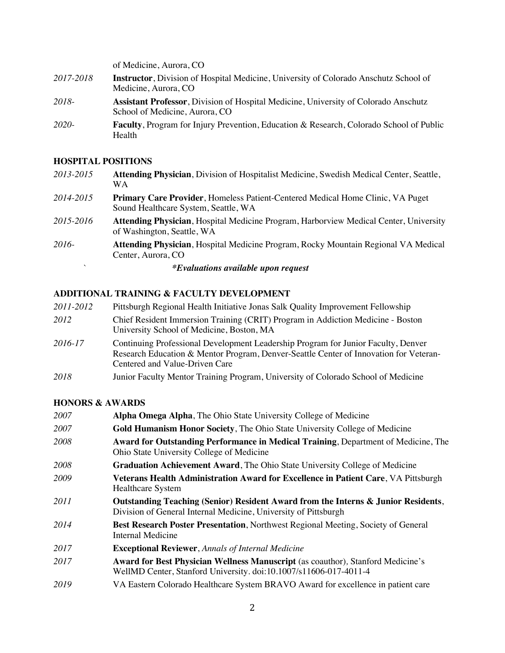|           | of Medicine, Aurora, CO                                                                                                       |
|-----------|-------------------------------------------------------------------------------------------------------------------------------|
| 2017-2018 | <b>Instructor</b> , Division of Hospital Medicine, University of Colorado Anschutz School of<br>Medicine, Aurora, CO          |
| 2018-     | <b>Assistant Professor</b> , Division of Hospital Medicine, University of Colorado Anschutz<br>School of Medicine, Aurora, CO |
| 2020-     | <b>Faculty, Program for Injury Prevention, Education &amp; Research, Colorado School of Public</b><br>Health                  |

# **HOSPITAL POSITIONS**

| 2013-2015 | Attending Physician, Division of Hospitalist Medicine, Swedish Medical Center, Seattle,<br>WA.                             |
|-----------|----------------------------------------------------------------------------------------------------------------------------|
| 2014-2015 | Primary Care Provider, Homeless Patient-Centered Medical Home Clinic, VA Puget<br>Sound Healthcare System, Seattle, WA     |
| 2015-2016 | <b>Attending Physician, Hospital Medicine Program, Harborview Medical Center, University</b><br>of Washington, Seattle, WA |
| 2016-     | Attending Physician, Hospital Medicine Program, Rocky Mountain Regional VA Medical<br>Center, Aurora, CO                   |
|           | <i>*Evaluations available upon request</i>                                                                                 |

# **ADDITIONAL TRAINING & FACULTY DEVELOPMENT**

| 2011-2012 | Pittsburgh Regional Health Initiative Jonas Salk Quality Improvement Fellowship                                                                                                                              |
|-----------|--------------------------------------------------------------------------------------------------------------------------------------------------------------------------------------------------------------|
| 2012      | Chief Resident Immersion Training (CRIT) Program in Addiction Medicine - Boston<br>University School of Medicine, Boston, MA                                                                                 |
| 2016-17   | Continuing Professional Development Leadership Program for Junior Faculty, Denver<br>Research Education & Mentor Program, Denver-Seattle Center of Innovation for Veteran-<br>Centered and Value-Driven Care |
| 2018      | Junior Faculty Mentor Training Program, University of Colorado School of Medicine                                                                                                                            |

# **HONORS & AWARDS**

| 2007 | Alpha Omega Alpha, The Ohio State University College of Medicine                                                                                     |
|------|------------------------------------------------------------------------------------------------------------------------------------------------------|
| 2007 | Gold Humanism Honor Society, The Ohio State University College of Medicine                                                                           |
| 2008 | Award for Outstanding Performance in Medical Training, Department of Medicine, The<br>Ohio State University College of Medicine                      |
| 2008 | Graduation Achievement Award, The Ohio State University College of Medicine                                                                          |
| 2009 | Veterans Health Administration Award for Excellence in Patient Care, VA Pittsburgh<br><b>Healthcare System</b>                                       |
| 2011 | Outstanding Teaching (Senior) Resident Award from the Interns & Junior Residents,<br>Division of General Internal Medicine, University of Pittsburgh |
| 2014 | Best Research Poster Presentation, Northwest Regional Meeting, Society of General<br>Internal Medicine                                               |
| 2017 | <b>Exceptional Reviewer, Annals of Internal Medicine</b>                                                                                             |
| 2017 | Award for Best Physician Wellness Manuscript (as coauthor), Stanford Medicine's<br>WellMD Center, Stanford University. doi:10.1007/s11606-017-4011-4 |
| 2019 | VA Eastern Colorado Healthcare System BRAVO Award for excellence in patient care                                                                     |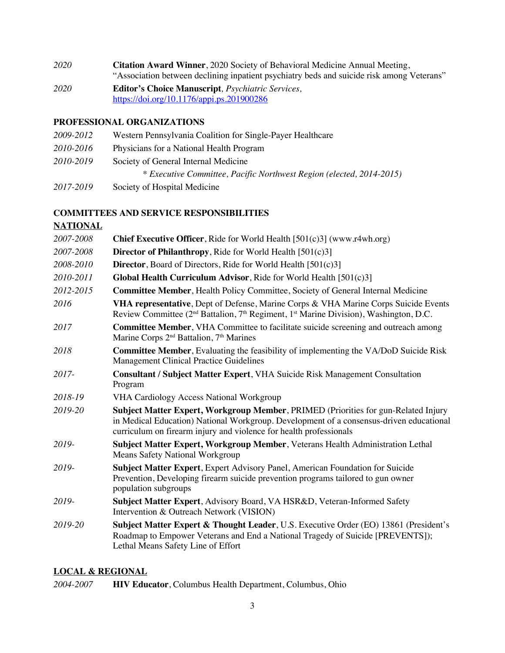- *2020* **Citation Award Winner**, 2020 Society of Behavioral Medicine Annual Meeting, "Association between declining inpatient psychiatry beds and suicide risk among Veterans"
- *2020* **Editor's Choice Manuscript***, Psychiatric Services,*  https://doi.org/10.1176/appi.ps.201900286

# **PROFESSIONAL ORGANIZATIONS**

- *2009-2012* Western Pennsylvania Coalition for Single-Payer Healthcare *2010-2016* Physicians for a National Health Program
- *2010-2019* Society of General Internal Medicine
	- *\* Executive Committee, Pacific Northwest Region (elected, 2014-2015)*
- *2017-2019* Society of Hospital Medicine

# **COMMITTEES AND SERVICE RESPONSIBILITIES**

# **NATIONAL**

| 2007-2008 | <b>Chief Executive Officer, Ride for World Health [501(c)3] (www.r4wh.org)</b>                                                                                                                                                                      |
|-----------|-----------------------------------------------------------------------------------------------------------------------------------------------------------------------------------------------------------------------------------------------------|
| 2007-2008 | <b>Director of Philanthropy</b> , Ride for World Health [501(c)3]                                                                                                                                                                                   |
| 2008-2010 | <b>Director</b> , Board of Directors, Ride for World Health $[501(c)3]$                                                                                                                                                                             |
| 2010-2011 | <b>Global Health Curriculum Advisor, Ride for World Health [501(c)3]</b>                                                                                                                                                                            |
| 2012-2015 | <b>Committee Member, Health Policy Committee, Society of General Internal Medicine</b>                                                                                                                                                              |
| 2016      | VHA representative, Dept of Defense, Marine Corps & VHA Marine Corps Suicide Events<br>Review Committee ( $2nd$ Battalion, $7th$ Regiment, $1st$ Marine Division), Washington, D.C.                                                                 |
| 2017      | <b>Committee Member</b> , VHA Committee to facilitate suicide screening and outreach among<br>Marine Corps 2 <sup>nd</sup> Battalion, 7 <sup>th</sup> Marines                                                                                       |
| 2018      | Committee Member, Evaluating the feasibility of implementing the VA/DoD Suicide Risk<br><b>Management Clinical Practice Guidelines</b>                                                                                                              |
| 2017-     | Consultant / Subject Matter Expert, VHA Suicide Risk Management Consultation<br>Program                                                                                                                                                             |
| 2018-19   | <b>VHA Cardiology Access National Workgroup</b>                                                                                                                                                                                                     |
| 2019-20   | Subject Matter Expert, Workgroup Member, PRIMED (Priorities for gun-Related Injury<br>in Medical Education) National Workgroup. Development of a consensus-driven educational<br>curriculum on firearm injury and violence for health professionals |
| 2019-     | Subject Matter Expert, Workgroup Member, Veterans Health Administration Lethal<br><b>Means Safety National Workgroup</b>                                                                                                                            |
| 2019-     | Subject Matter Expert, Expert Advisory Panel, American Foundation for Suicide<br>Prevention, Developing firearm suicide prevention programs tailored to gun owner<br>population subgroups                                                           |
| 2019-     | Subject Matter Expert, Advisory Board, VA HSR&D, Veteran-Informed Safety<br>Intervention & Outreach Network (VISION)                                                                                                                                |
| 2019-20   | Subject Matter Expert & Thought Leader, U.S. Executive Order (EO) 13861 (President's<br>Roadmap to Empower Veterans and End a National Tragedy of Suicide [PREVENTS]);<br>Lethal Means Safety Line of Effort                                        |

### **LOCAL & REGIONAL**

*2004-2007* **HIV Educator**, Columbus Health Department, Columbus, Ohio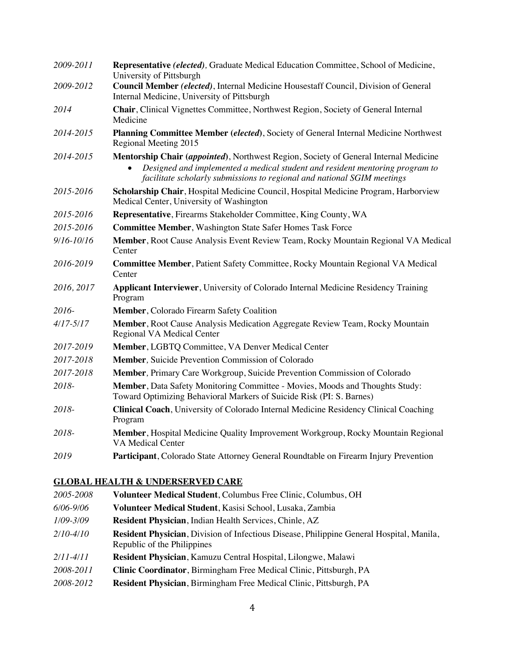| 2009-2011      | Representative (elected), Graduate Medical Education Committee, School of Medicine,<br>University of Pittsburgh                                                                                                                                              |
|----------------|--------------------------------------------------------------------------------------------------------------------------------------------------------------------------------------------------------------------------------------------------------------|
| 2009-2012      | Council Member (elected), Internal Medicine Housestaff Council, Division of General<br>Internal Medicine, University of Pittsburgh                                                                                                                           |
| 2014           | Chair, Clinical Vignettes Committee, Northwest Region, Society of General Internal<br>Medicine                                                                                                                                                               |
| 2014-2015      | Planning Committee Member (elected), Society of General Internal Medicine Northwest<br>Regional Meeting 2015                                                                                                                                                 |
| 2014-2015      | Mentorship Chair (appointed), Northwest Region, Society of General Internal Medicine<br>Designed and implemented a medical student and resident mentoring program to<br>$\bullet$<br>facilitate scholarly submissions to regional and national SGIM meetings |
| 2015-2016      | Scholarship Chair, Hospital Medicine Council, Hospital Medicine Program, Harborview<br>Medical Center, University of Washington                                                                                                                              |
| 2015-2016      | Representative, Firearms Stakeholder Committee, King County, WA                                                                                                                                                                                              |
| 2015-2016      | <b>Committee Member, Washington State Safer Homes Task Force</b>                                                                                                                                                                                             |
| $9/16 - 10/16$ | Member, Root Cause Analysis Event Review Team, Rocky Mountain Regional VA Medical<br>Center                                                                                                                                                                  |
| 2016-2019      | <b>Committee Member</b> , Patient Safety Committee, Rocky Mountain Regional VA Medical<br>Center                                                                                                                                                             |
| 2016, 2017     | Applicant Interviewer, University of Colorado Internal Medicine Residency Training<br>Program                                                                                                                                                                |
| 2016-          | Member, Colorado Firearm Safety Coalition                                                                                                                                                                                                                    |
| $4/17 - 5/17$  | Member, Root Cause Analysis Medication Aggregate Review Team, Rocky Mountain<br>Regional VA Medical Center                                                                                                                                                   |
| 2017-2019      | Member, LGBTQ Committee, VA Denver Medical Center                                                                                                                                                                                                            |
| 2017-2018      | Member, Suicide Prevention Commission of Colorado                                                                                                                                                                                                            |
| 2017-2018      | Member, Primary Care Workgroup, Suicide Prevention Commission of Colorado                                                                                                                                                                                    |
| 2018-          | Member, Data Safety Monitoring Committee - Movies, Moods and Thoughts Study:<br>Toward Optimizing Behavioral Markers of Suicide Risk (PI: S. Barnes)                                                                                                         |
| 2018-          | <b>Clinical Coach</b> , University of Colorado Internal Medicine Residency Clinical Coaching<br>Program                                                                                                                                                      |
| 2018-          | Member, Hospital Medicine Quality Improvement Workgroup, Rocky Mountain Regional<br><b>VA Medical Center</b>                                                                                                                                                 |
| 2019           | Participant, Colorado State Attorney General Roundtable on Firearm Injury Prevention                                                                                                                                                                         |

# **GLOBAL HEALTH & UNDERSERVED CARE**

| 2005-2008     | Volunteer Medical Student, Columbus Free Clinic, Columbus, OH                                                                  |
|---------------|--------------------------------------------------------------------------------------------------------------------------------|
| 6/06-9/06     | Volunteer Medical Student, Kasisi School, Lusaka, Zambia                                                                       |
| $1/09 - 3/09$ | Resident Physician, Indian Health Services, Chinle, AZ                                                                         |
| $2/10-4/10$   | <b>Resident Physician, Division of Infectious Disease, Philippine General Hospital, Manila,</b><br>Republic of the Philippines |
| $2/11 - 4/11$ | Resident Physician, Kamuzu Central Hospital, Lilongwe, Malawi                                                                  |
| 2008-2011     | Clinic Coordinator, Birmingham Free Medical Clinic, Pittsburgh, PA                                                             |
| 2008-2012     | Resident Physician, Birmingham Free Medical Clinic, Pittsburgh, PA                                                             |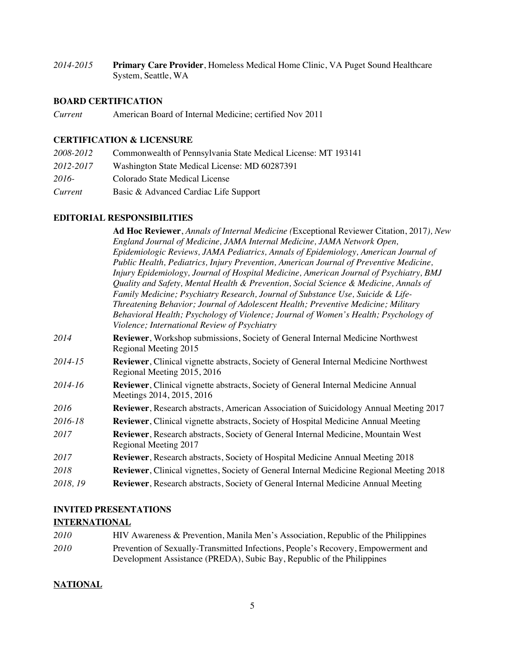*2014-2015* **Primary Care Provider**, Homeless Medical Home Clinic, VA Puget Sound Healthcare System, Seattle, WA

# **BOARD CERTIFICATION**

*Current* American Board of Internal Medicine; certified Nov 2011

#### **CERTIFICATION & LICENSURE**

| 2008-2012 | Commonwealth of Pennsylvania State Medical License: MT 193141 |
|-----------|---------------------------------------------------------------|
| 2012-2017 | Washington State Medical License: MD 60287391                 |
| $2016-$   | Colorado State Medical License                                |
| Current   | Basic & Advanced Cardiac Life Support                         |

# **EDITORIAL RESPONSIBILITIES**

|          | <b>Ad Hoc Reviewer, Annals of Internal Medicine (Exceptional Reviewer Citation, 2017), New</b>                                      |
|----------|-------------------------------------------------------------------------------------------------------------------------------------|
|          | England Journal of Medicine, JAMA Internal Medicine, JAMA Network Open,                                                             |
|          | Epidemiologic Reviews, JAMA Pediatrics, Annals of Epidemiology, American Journal of                                                 |
|          | Public Health, Pediatrics, Injury Prevention, American Journal of Preventive Medicine,                                              |
|          | Injury Epidemiology, Journal of Hospital Medicine, American Journal of Psychiatry, BMJ                                              |
|          | Quality and Safety, Mental Health & Prevention, Social Science & Medicine, Annals of                                                |
|          | Family Medicine; Psychiatry Research, Journal of Substance Use, Suicide & Life-                                                     |
|          | Threatening Behavior; Journal of Adolescent Health; Preventive Medicine; Military                                                   |
|          | Behavioral Health; Psychology of Violence; Journal of Women's Health; Psychology of<br>Violence; International Review of Psychiatry |
| 2014     | Reviewer, Workshop submissions, Society of General Internal Medicine Northwest<br>Regional Meeting 2015                             |
| 2014-15  | Reviewer, Clinical vignette abstracts, Society of General Internal Medicine Northwest<br>Regional Meeting 2015, 2016                |
| 2014-16  | <b>Reviewer</b> , Clinical vignette abstracts, Society of General Internal Medicine Annual<br>Meetings 2014, 2015, 2016             |
| 2016     | <b>Reviewer</b> , Research abstracts, American Association of Suicidology Annual Meeting 2017                                       |
| 2016-18  | <b>Reviewer</b> , Clinical vignette abstracts, Society of Hospital Medicine Annual Meeting                                          |
| 2017     | Reviewer, Research abstracts, Society of General Internal Medicine, Mountain West<br>Regional Meeting 2017                          |
| 2017     | Reviewer, Research abstracts, Society of Hospital Medicine Annual Meeting 2018                                                      |
| 2018     | Reviewer, Clinical vignettes, Society of General Internal Medicine Regional Meeting 2018                                            |
| 2018, 19 | Reviewer, Research abstracts, Society of General Internal Medicine Annual Meeting                                                   |
|          |                                                                                                                                     |

#### **INVITED PRESENTATIONS**

## **INTERNATIONAL**

*2010* HIV Awareness & Prevention, Manila Men's Association, Republic of the Philippines *2010* Prevention of Sexually-Transmitted Infections, People's Recovery, Empowerment and Development Assistance (PREDA), Subic Bay, Republic of the Philippines

# **NATIONAL**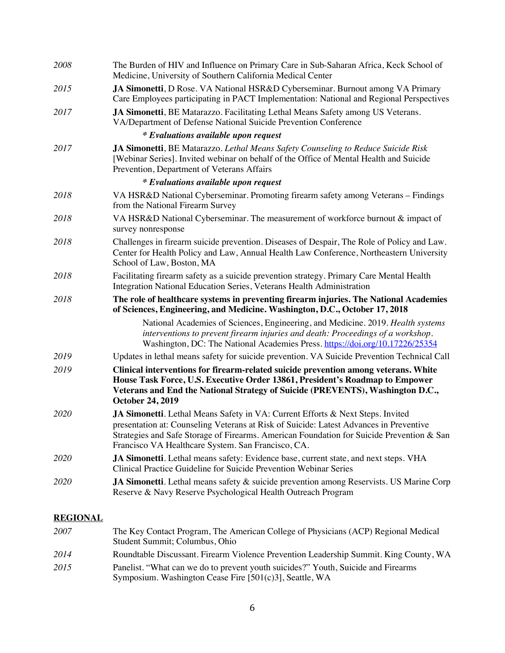| 2008            | The Burden of HIV and Influence on Primary Care in Sub-Saharan Africa, Keck School of<br>Medicine, University of Southern California Medical Center                                                                                                                                                                         |
|-----------------|-----------------------------------------------------------------------------------------------------------------------------------------------------------------------------------------------------------------------------------------------------------------------------------------------------------------------------|
| 2015            | JA Simonetti, D Rose. VA National HSR&D Cyberseminar. Burnout among VA Primary<br>Care Employees participating in PACT Implementation: National and Regional Perspectives                                                                                                                                                   |
| 2017            | JA Simonetti, BE Matarazzo. Facilitating Lethal Means Safety among US Veterans.<br>VA/Department of Defense National Suicide Prevention Conference                                                                                                                                                                          |
|                 | <i>*</i> Evaluations available upon request                                                                                                                                                                                                                                                                                 |
| 2017            | JA Simonetti, BE Matarazzo. Lethal Means Safety Counseling to Reduce Suicide Risk<br>[Webinar Series]. Invited webinar on behalf of the Office of Mental Health and Suicide<br>Prevention, Department of Veterans Affairs                                                                                                   |
|                 | <i>*</i> Evaluations available upon request                                                                                                                                                                                                                                                                                 |
| 2018            | VA HSR&D National Cyberseminar. Promoting firearm safety among Veterans - Findings<br>from the National Firearm Survey                                                                                                                                                                                                      |
| 2018            | VA HSR&D National Cyberseminar. The measurement of workforce burnout & impact of<br>survey nonresponse                                                                                                                                                                                                                      |
| 2018            | Challenges in firearm suicide prevention. Diseases of Despair, The Role of Policy and Law.<br>Center for Health Policy and Law, Annual Health Law Conference, Northeastern University<br>School of Law, Boston, MA                                                                                                          |
| 2018            | Facilitating firearm safety as a suicide prevention strategy. Primary Care Mental Health<br>Integration National Education Series, Veterans Health Administration                                                                                                                                                           |
| 2018            | The role of healthcare systems in preventing firearm injuries. The National Academies<br>of Sciences, Engineering, and Medicine. Washington, D.C., October 17, 2018                                                                                                                                                         |
|                 | National Academies of Sciences, Engineering, and Medicine. 2019. Health systems<br>interventions to prevent firearm injuries and death: Proceedings of a workshop.<br>Washington, DC: The National Academies Press. https://doi.org/10.17226/25354                                                                          |
| 2019            | Updates in lethal means safety for suicide prevention. VA Suicide Prevention Technical Call                                                                                                                                                                                                                                 |
| 2019            | Clinical interventions for firearm-related suicide prevention among veterans. White<br>House Task Force, U.S. Executive Order 13861, President's Roadmap to Empower<br>Veterans and End the National Strategy of Suicide (PREVENTS), Washington D.C.,<br><b>October 24, 2019</b>                                            |
| 2020            | JA Simonetti. Lethal Means Safety in VA: Current Efforts & Next Steps. Invited<br>presentation at: Counseling Veterans at Risk of Suicide: Latest Advances in Preventive<br>Strategies and Safe Storage of Firearms. American Foundation for Suicide Prevention & San<br>Francisco VA Healthcare System. San Francisco, CA. |
| 2020            | JA Simonetti. Lethal means safety: Evidence base, current state, and next steps. VHA<br>Clinical Practice Guideline for Suicide Prevention Webinar Series                                                                                                                                                                   |
| 2020            | JA Simonetti. Lethal means safety & suicide prevention among Reservists. US Marine Corp<br>Reserve & Navy Reserve Psychological Health Outreach Program                                                                                                                                                                     |
|                 |                                                                                                                                                                                                                                                                                                                             |
| <b>REGIONAL</b> |                                                                                                                                                                                                                                                                                                                             |

| 2007 | The Key Contact Program, The American College of Physicians (ACP) Regional Medical    |
|------|---------------------------------------------------------------------------------------|
|      | Student Summit; Columbus, Ohio                                                        |
| 2014 | Roundtable Discussant. Firearm Violence Prevention Leadership Summit. King County, WA |
| 2015 | Panelist. "What can we do to prevent youth suicides?" Youth, Suicide and Firearms     |
|      | Symposium. Washington Cease Fire [501(c)3], Seattle, WA                               |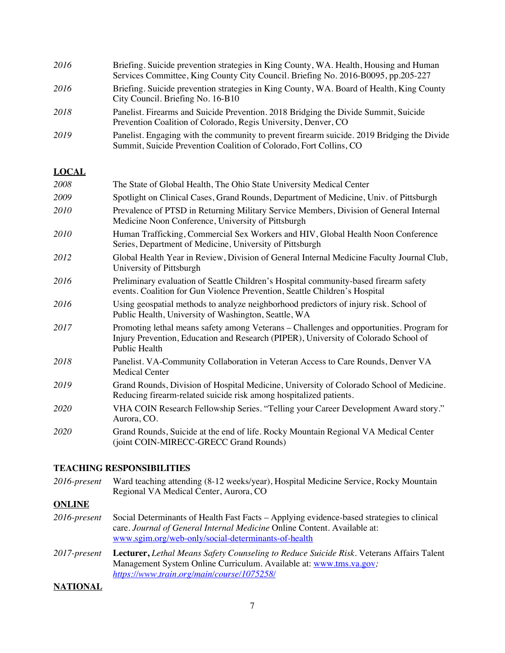| 2016 | Briefing. Suicide prevention strategies in King County, WA. Health, Housing and Human<br>Services Committee, King County City Council. Briefing No. 2016-B0095, pp.205-227 |
|------|----------------------------------------------------------------------------------------------------------------------------------------------------------------------------|
| 2016 | Briefing. Suicide prevention strategies in King County, WA. Board of Health, King County<br>City Council. Briefing No. 16-B10                                              |
| 2018 | Panelist. Firearms and Suicide Prevention. 2018 Bridging the Divide Summit, Suicide<br>Prevention Coalition of Colorado, Regis University, Denver, CO                      |
| 2019 | Panelist. Engaging with the community to prevent firearm suicide. 2019 Bridging the Divide<br>Summit, Suicide Prevention Coalition of Colorado, Fort Collins, CO           |

### **LOCAL**

| 2008        | The State of Global Health, The Ohio State University Medical Center                                                                                                                             |
|-------------|--------------------------------------------------------------------------------------------------------------------------------------------------------------------------------------------------|
| 2009        | Spotlight on Clinical Cases, Grand Rounds, Department of Medicine, Univ. of Pittsburgh                                                                                                           |
| 2010        | Prevalence of PTSD in Returning Military Service Members, Division of General Internal<br>Medicine Noon Conference, University of Pittsburgh                                                     |
| 2010        | Human Trafficking, Commercial Sex Workers and HIV, Global Health Noon Conference<br>Series, Department of Medicine, University of Pittsburgh                                                     |
| 2012        | Global Health Year in Review, Division of General Internal Medicine Faculty Journal Club,<br>University of Pittsburgh                                                                            |
| 2016        | Preliminary evaluation of Seattle Children's Hospital community-based firearm safety<br>events. Coalition for Gun Violence Prevention, Seattle Children's Hospital                               |
| 2016        | Using geospatial methods to analyze neighborhood predictors of injury risk. School of<br>Public Health, University of Washington, Seattle, WA                                                    |
| 2017        | Promoting lethal means safety among Veterans – Challenges and opportunities. Program for<br>Injury Prevention, Education and Research (PIPER), University of Colorado School of<br>Public Health |
| 2018        | Panelist. VA-Community Collaboration in Veteran Access to Care Rounds, Denver VA<br><b>Medical Center</b>                                                                                        |
| 2019        | Grand Rounds, Division of Hospital Medicine, University of Colorado School of Medicine.<br>Reducing firearm-related suicide risk among hospitalized patients.                                    |
| <i>2020</i> | VHA COIN Research Fellowship Series. "Telling your Career Development Award story."<br>Aurora, CO.                                                                                               |
| <i>2020</i> | Grand Rounds, Suicide at the end of life. Rocky Mountain Regional VA Medical Center<br>(joint COIN-MIRECC-GRECC Grand Rounds)                                                                    |
|             |                                                                                                                                                                                                  |

#### **TEACHING RESPONSIBILITIES**

*2016-present* Ward teaching attending (8-12 weeks/year), Hospital Medicine Service, Rocky Mountain Regional VA Medical Center, Aurora, CO

# **ONLINE**

- *2016-present* Social Determinants of Health Fast Facts Applying evidence-based strategies to clinical care. *Journal of General Internal Medicine* Online Content. Available at: www.sgim.org/web-only/social-determinants-of-health
- *2017-present* **Lecturer,** *Lethal Means Safety Counseling to Reduce Suicide Risk.* Veterans Affairs Talent Management System Online Curriculum. Available at: www.tms.va.gov*; https://www.train.org/main/course/1075258/*

#### **NATIONAL**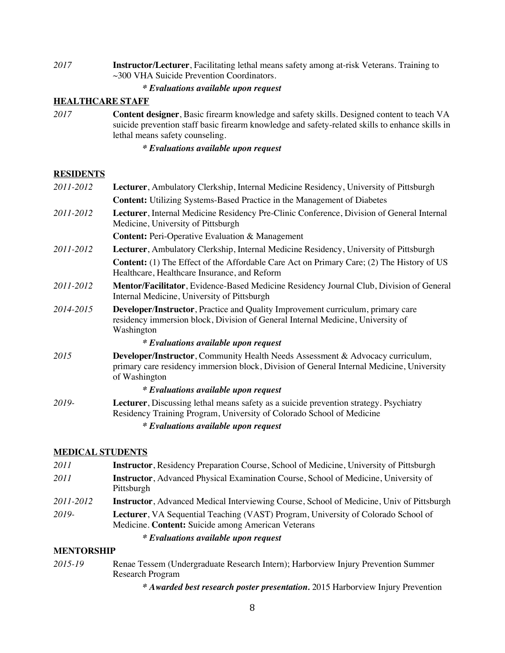*2017* **Instructor/Lecturer**, Facilitating lethal means safety among at-risk Veterans. Training to ~300 VHA Suicide Prevention Coordinators.

#### *\* Evaluations available upon request*

# **HEALTHCARE STAFF**

*2017* **Content designer**, Basic firearm knowledge and safety skills. Designed content to teach VA suicide prevention staff basic firearm knowledge and safety-related skills to enhance skills in lethal means safety counseling.

*\* Evaluations available upon request*

#### **RESIDENTS**

| Lecturer, Ambulatory Clerkship, Internal Medicine Residency, University of Pittsburgh                                                                                                        |
|----------------------------------------------------------------------------------------------------------------------------------------------------------------------------------------------|
| <b>Content:</b> Utilizing Systems-Based Practice in the Management of Diabetes                                                                                                               |
| Lecturer, Internal Medicine Residency Pre-Clinic Conference, Division of General Internal<br>Medicine, University of Pittsburgh                                                              |
| <b>Content:</b> Peri-Operative Evaluation & Management                                                                                                                                       |
| Lecturer, Ambulatory Clerkship, Internal Medicine Residency, University of Pittsburgh                                                                                                        |
| <b>Content:</b> (1) The Effect of the Affordable Care Act on Primary Care; (2) The History of US<br>Healthcare, Healthcare Insurance, and Reform                                             |
| Mentor/Facilitator, Evidence-Based Medicine Residency Journal Club, Division of General<br>Internal Medicine, University of Pittsburgh                                                       |
| Developer/Instructor, Practice and Quality Improvement curriculum, primary care<br>residency immersion block, Division of General Internal Medicine, University of<br>Washington             |
| <i>*</i> Evaluations available upon request                                                                                                                                                  |
| Developer/Instructor, Community Health Needs Assessment & Advocacy curriculum,<br>primary care residency immersion block, Division of General Internal Medicine, University<br>of Washington |
| <i>*</i> Evaluations available upon request                                                                                                                                                  |
| Lecturer, Discussing lethal means safety as a suicide prevention strategy. Psychiatry<br>Residency Training Program, University of Colorado School of Medicine                               |
| <i>*</i> Evaluations available upon request                                                                                                                                                  |
|                                                                                                                                                                                              |

### **MEDICAL STUDENTS**

| 2011      | <b>Instructor</b> , Residency Preparation Course, School of Medicine, University of Pittsburgh                                                  |
|-----------|-------------------------------------------------------------------------------------------------------------------------------------------------|
| 2011      | <b>Instructor</b> , Advanced Physical Examination Course, School of Medicine, University of<br>Pittsburgh                                       |
| 2011-2012 | <b>Instructor</b> , Advanced Medical Interviewing Course, School of Medicine, Univ of Pittsburgh                                                |
| 2019-     | <b>Lecturer</b> , VA Sequential Teaching (VAST) Program, University of Colorado School of<br>Medicine. Content: Suicide among American Veterans |
|           | <i>* Evaluations available upon request</i>                                                                                                     |

#### **MENTORSHIP**

- *2015-19* Renae Tessem (Undergraduate Research Intern); Harborview Injury Prevention Summer Research Program
	- *\* Awarded best research poster presentation.* 2015 Harborview Injury Prevention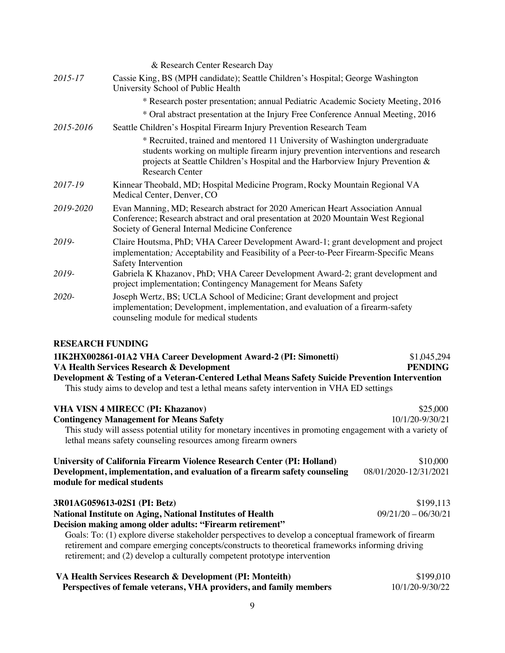|           | & Research Center Research Day                                                                                                                                                                                                                                               |
|-----------|------------------------------------------------------------------------------------------------------------------------------------------------------------------------------------------------------------------------------------------------------------------------------|
| 2015-17   | Cassie King, BS (MPH candidate); Seattle Children's Hospital; George Washington<br>University School of Public Health                                                                                                                                                        |
|           | * Research poster presentation; annual Pediatric Academic Society Meeting, 2016                                                                                                                                                                                              |
|           | * Oral abstract presentation at the Injury Free Conference Annual Meeting, 2016                                                                                                                                                                                              |
| 2015-2016 | Seattle Children's Hospital Firearm Injury Prevention Research Team                                                                                                                                                                                                          |
|           | * Recruited, trained and mentored 11 University of Washington undergraduate<br>students working on multiple firearm injury prevention interventions and research<br>projects at Seattle Children's Hospital and the Harborview Injury Prevention &<br><b>Research Center</b> |
| 2017-19   | Kinnear Theobald, MD; Hospital Medicine Program, Rocky Mountain Regional VA<br>Medical Center, Denver, CO                                                                                                                                                                    |
| 2019-2020 | Evan Manning, MD; Research abstract for 2020 American Heart Association Annual<br>Conference; Research abstract and oral presentation at 2020 Mountain West Regional<br>Society of General Internal Medicine Conference                                                      |
| 2019-     | Claire Houtsma, PhD; VHA Career Development Award-1; grant development and project<br>implementation; Acceptability and Feasibility of a Peer-to-Peer Firearm-Specific Means<br>Safety Intervention                                                                          |
| 2019-     | Gabriela K Khazanov, PhD; VHA Career Development Award-2; grant development and<br>project implementation; Contingency Management for Means Safety                                                                                                                           |
| 2020-     | Joseph Wertz, BS; UCLA School of Medicine; Grant development and project<br>implementation; Development, implementation, and evaluation of a firearm-safety<br>counseling module for medical students                                                                        |

# **RESEARCH FUNDING**

| 1IK2HX002861-01A2 VHA Career Development Award-2 (PI: Simonetti)<br>VA Health Services Research & Development<br>Development & Testing of a Veteran-Centered Lethal Means Safety Suicide Prevention Intervention<br>This study aims to develop and test a lethal means safety intervention in VHA ED settings | \$1,045,294<br><b>PENDING</b> |
|---------------------------------------------------------------------------------------------------------------------------------------------------------------------------------------------------------------------------------------------------------------------------------------------------------------|-------------------------------|
| <b>VHA VISN 4 MIRECC (PI: Khazanov)</b>                                                                                                                                                                                                                                                                       | \$25,000                      |
| <b>Contingency Management for Means Safety</b>                                                                                                                                                                                                                                                                | 10/1/20-9/30/21               |
| This study will assess potential utility for monetary incentives in promoting engagement with a variety of<br>lethal means safety counseling resources among firearm owners                                                                                                                                   |                               |
| University of California Firearm Violence Research Center (PI: Holland)                                                                                                                                                                                                                                       | \$10,000                      |
| Development, implementation, and evaluation of a firearm safety counseling<br>module for medical students                                                                                                                                                                                                     | 08/01/2020-12/31/2021         |
| 3R01AG059613-02S1 (PI: Betz)                                                                                                                                                                                                                                                                                  | \$199,113                     |
| <b>National Institute on Aging, National Institutes of Health</b><br>Decision making among older adults: "Firearm retirement"                                                                                                                                                                                 | $09/21/20 - 06/30/21$         |
| Goals: To: (1) explore diverse stakeholder perspectives to develop a conceptual framework of firearm<br>retirement and compare emerging concepts/constructs to theoretical frameworks informing driving<br>retirement; and (2) develop a culturally competent prototype intervention                          |                               |

| VA Health Services Research & Development (PI: Monteith)           | \$199,010       |
|--------------------------------------------------------------------|-----------------|
| Perspectives of female veterans, VHA providers, and family members | 10/1/20-9/30/22 |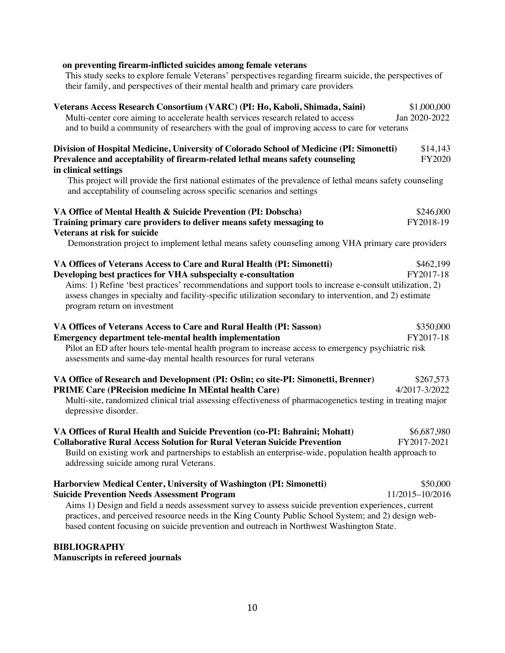# **on preventing firearm-inflicted suicides among female veterans**

This study seeks to explore female Veterans' perspectives regarding firearm suicide, the perspectives of their family, and perspectives of their mental health and primary care providers

| Veterans Access Research Consortium (VARC) (PI: Ho, Kaboli, Shimada, Saini)<br>Multi-center core aiming to accelerate health services research related to access<br>and to build a community of researchers with the goal of improving access to care for veterans                                                                                                                                                                   | \$1,000,000<br>Jan 2020-2022 |
|--------------------------------------------------------------------------------------------------------------------------------------------------------------------------------------------------------------------------------------------------------------------------------------------------------------------------------------------------------------------------------------------------------------------------------------|------------------------------|
| Division of Hospital Medicine, University of Colorado School of Medicine (PI: Simonetti)<br>Prevalence and acceptability of firearm-related lethal means safety counseling<br>in clinical settings                                                                                                                                                                                                                                   | \$14,143<br>FY2020           |
| This project will provide the first national estimates of the prevalence of lethal means safety counseling<br>and acceptability of counseling across specific scenarios and settings                                                                                                                                                                                                                                                 |                              |
| VA Office of Mental Health & Suicide Prevention (PI: Dobscha)<br>Training primary care providers to deliver means safety messaging to<br>Veterans at risk for suicide                                                                                                                                                                                                                                                                | \$246,000<br>FY2018-19       |
| Demonstration project to implement lethal means safety counseling among VHA primary care providers                                                                                                                                                                                                                                                                                                                                   |                              |
| VA Offices of Veterans Access to Care and Rural Health (PI: Simonetti)<br>Developing best practices for VHA subspecialty e-consultation<br>Aims: 1) Refine 'best practices' recommendations and support tools to increase e-consult utilization, 2)<br>assess changes in specialty and facility-specific utilization secondary to intervention, and 2) estimate<br>program return on investment                                      | \$462,199<br>FY2017-18       |
| VA Offices of Veterans Access to Care and Rural Health (PI: Sasson)<br><b>Emergency department tele-mental health implementation</b><br>Pilot an ED after hours tele-mental health program to increase access to emergency psychiatric risk<br>assessments and same-day mental health resources for rural veterans                                                                                                                   | \$350,000<br>FY2017-18       |
| VA Office of Research and Development (PI: Oslin; co site-PI: Simonetti, Brenner)<br><b>PRIME Care (PRecision medicine In MEntal health Care)</b><br>Multi-site, randomized clinical trial assessing effectiveness of pharmacogenetics testing in treating major<br>depressive disorder.                                                                                                                                             | \$267,573<br>4/2017-3/2022   |
| VA Offices of Rural Health and Suicide Prevention (co-PI: Bahraini; Mohatt)<br><b>Collaborative Rural Access Solution for Rural Veteran Suicide Prevention</b><br>Build on existing work and partnerships to establish an enterprise-wide, population health approach to<br>addressing suicide among rural Veterans.                                                                                                                 | \$6,687,980<br>FY2017-2021   |
| Harborview Medical Center, University of Washington (PI: Simonetti)<br><b>Suicide Prevention Needs Assessment Program</b><br>Aims 1) Design and field a needs assessment survey to assess suicide prevention experiences, current<br>practices, and perceived resource needs in the King County Public School System; and 2) design web-<br>based content focusing on suicide prevention and outreach in Northwest Washington State. | \$50,000<br>11/2015-10/2016  |

**BIBLIOGRAPHY** 

**Manuscripts in refereed journals**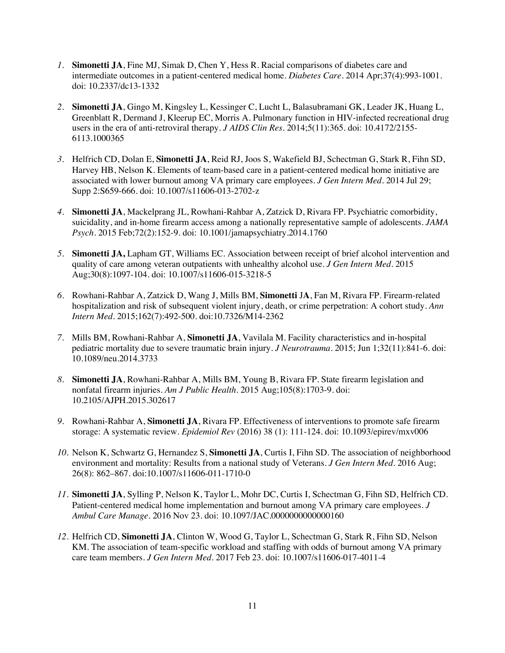- *1.* **Simonetti JA**, Fine MJ, Simak D, Chen Y, Hess R. Racial comparisons of diabetes care and intermediate outcomes in a patient-centered medical home. *Diabetes Care.* 2014 Apr;37(4):993-1001. doi: 10.2337/dc13-1332
- *2.* **Simonetti JA**, Gingo M, Kingsley L, Kessinger C, Lucht L, Balasubramani GK, Leader JK, Huang L, Greenblatt R, Dermand J, Kleerup EC, Morris A. Pulmonary function in HIV-infected recreational drug users in the era of anti-retroviral therapy. *J AIDS Clin Res.* 2014;5(11):365. doi: 10.4172/2155- 6113.1000365
- *3.* Helfrich CD, Dolan E, **Simonetti JA**, Reid RJ, Joos S, Wakefield BJ, Schectman G, Stark R, Fihn SD, Harvey HB, Nelson K. Elements of team-based care in a patient-centered medical home initiative are associated with lower burnout among VA primary care employees. *J Gen Intern Med*. 2014 Jul 29; Supp 2:S659-666. doi: 10.1007/s11606-013-2702-z
- *4.* **Simonetti JA**, Mackelprang JL, Rowhani-Rahbar A, Zatzick D, Rivara FP. Psychiatric comorbidity, suicidality, and in-home firearm access among a nationally representative sample of adolescents. *JAMA Psych.* 2015 Feb;72(2):152-9. doi: 10.1001/jamapsychiatry.2014.1760
- *5.* **Simonetti JA,** Lapham GT, Williams EC. Association between receipt of brief alcohol intervention and quality of care among veteran outpatients with unhealthy alcohol use. *J Gen Intern Med.* 2015 Aug;30(8):1097-104. doi: 10.1007/s11606-015-3218-5
- *6.* Rowhani-Rahbar A, Zatzick D, Wang J, Mills BM, **Simonetti** J**A**, Fan M, Rivara FP. Firearm-related hospitalization and risk of subsequent violent injury, death, or crime perpetration: A cohort study. *Ann Intern Med.* 2015;162(7):492-500. doi:10.7326/M14-2362
- *7.* Mills BM, Rowhani-Rahbar A, **Simonetti JA**, Vavilala M. Facility characteristics and in-hospital pediatric mortality due to severe traumatic brain injury. *J Neurotrauma.* 2015; Jun 1;32(11):841-6. doi: 10.1089/neu.2014.3733
- *8.* **Simonetti JA**, Rowhani-Rahbar A, Mills BM, Young B, Rivara FP. State firearm legislation and nonfatal firearm injuries. *Am J Public Health*. 2015 Aug;105(8):1703-9. doi: 10.2105/AJPH.2015.302617
- *9.* Rowhani-Rahbar A, **Simonetti JA**, Rivara FP. Effectiveness of interventions to promote safe firearm storage: A systematic review. *Epidemiol Rev* (2016) 38 (1): 111-124. doi: 10.1093/epirev/mxv006
- *10.* Nelson K, Schwartz G, Hernandez S, **Simonetti JA**, Curtis I, Fihn SD. The association of neighborhood environment and mortality: Results from a national study of Veterans. *J Gen Intern Med.* 2016 Aug; 26(8): 862–867. doi:10.1007/s11606-011-1710-0
- *11.* **Simonetti JA**, Sylling P, Nelson K, Taylor L, Mohr DC, Curtis I, Schectman G, Fihn SD, Helfrich CD. Patient-centered medical home implementation and burnout among VA primary care employees. *J Ambul Care Manage*. 2016 Nov 23. doi: 10.1097/JAC.0000000000000160
- *12.* Helfrich CD, **Simonetti JA**, Clinton W, Wood G, Taylor L, Schectman G, Stark R, Fihn SD, Nelson KM. The association of team-specific workload and staffing with odds of burnout among VA primary care team members. *J Gen Intern Med*. 2017 Feb 23. doi: 10.1007/s11606-017-4011-4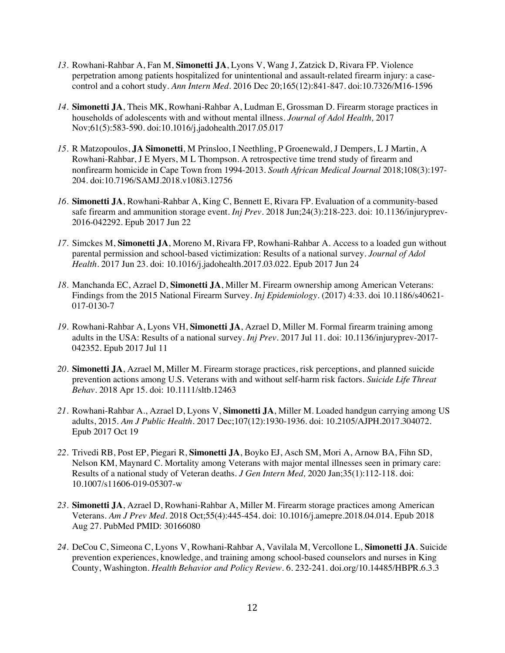- *13.* Rowhani-Rahbar A, Fan M, **Simonetti JA**, Lyons V, Wang J, Zatzick D, Rivara FP. Violence perpetration among patients hospitalized for unintentional and assault-related firearm injury: a casecontrol and a cohort study. *Ann Intern Med*. 2016 Dec 20;165(12):841-847. doi:10.7326/M16-1596
- *14.* **Simonetti JA**, Theis MK, Rowhani-Rahbar A, Ludman E, Grossman D. Firearm storage practices in households of adolescents with and without mental illness. *Journal of Adol Health,* 2017 Nov;61(5):583-590. doi:10.1016/j.jadohealth.2017.05.017
- *15.* R Matzopoulos, **JA Simonetti**, M Prinsloo, I Neethling, P Groenewald, J Dempers, L J Martin, A Rowhani-Rahbar, J E Myers, M L Thompson. A retrospective time trend study of firearm and nonfirearm homicide in Cape Town from 1994-2013. *South African Medical Journal* 2018;108(3):197- 204. doi:10.7196/SAMJ.2018.v108i3.12756
- *16.* **Simonetti JA**, Rowhani-Rahbar A, King C, Bennett E, Rivara FP. Evaluation of a community-based safe firearm and ammunition storage event. *Inj Prev*. 2018 Jun;24(3):218-223. doi: 10.1136/injuryprev-2016-042292. Epub 2017 Jun 22
- *17.* Simckes M, **Simonetti JA**, Moreno M, Rivara FP, Rowhani-Rahbar A. Access to a loaded gun without parental permission and school-based victimization: Results of a national survey. *Journal of Adol Health.* 2017 Jun 23. doi: 10.1016/j.jadohealth.2017.03.022. Epub 2017 Jun 24
- *18.* Manchanda EC, Azrael D, **Simonetti JA**, Miller M. Firearm ownership among American Veterans: Findings from the 2015 National Firearm Survey. *Inj Epidemiology.* (2017) 4:33. doi 10.1186/s40621- 017-0130-7
- *19.* Rowhani-Rahbar A, Lyons VH, **Simonetti JA**, Azrael D, Miller M. Formal firearm training among adults in the USA: Results of a national survey. *Inj Prev*. 2017 Jul 11. doi: 10.1136/injuryprev-2017- 042352. Epub 2017 Jul 11
- *20.* **Simonetti JA**, Azrael M, Miller M. Firearm storage practices, risk perceptions, and planned suicide prevention actions among U.S. Veterans with and without self-harm risk factors. *Suicide Life Threat Behav*. 2018 Apr 15. doi: 10.1111/sltb.12463
- *21.* Rowhani-Rahbar A., Azrael D, Lyons V, **Simonetti JA**, Miller M. Loaded handgun carrying among US adults, 2015. *Am J Public Health.* 2017 Dec;107(12):1930-1936. doi: 10.2105/AJPH.2017.304072. Epub 2017 Oct 19
- *22.* Trivedi RB, Post EP, Piegari R, **Simonetti JA**, Boyko EJ, Asch SM, Mori A, Arnow BA, Fihn SD, Nelson KM, Maynard C. Mortality among Veterans with major mental illnesses seen in primary care: Results of a national study of Veteran deaths. *J Gen Intern Med,* 2020 Jan;35(1):112-118. doi: 10.1007/s11606-019-05307-w
- *23.* **Simonetti JA**, Azrael D, Rowhani-Rahbar A, Miller M. Firearm storage practices among American Veterans. *Am J Prev Med.* 2018 Oct;55(4):445-454. doi: 10.1016/j.amepre.2018.04.014. Epub 2018 Aug 27. PubMed PMID: 30166080
- *24.* DeCou C, Simeona C, Lyons V, Rowhani-Rahbar A, Vavilala M, Vercollone L, **Simonetti JA**. Suicide prevention experiences, knowledge, and training among school-based counselors and nurses in King County, Washington. *Health Behavior and Policy Review*. 6. 232-241. doi.org/10.14485/HBPR.6.3.3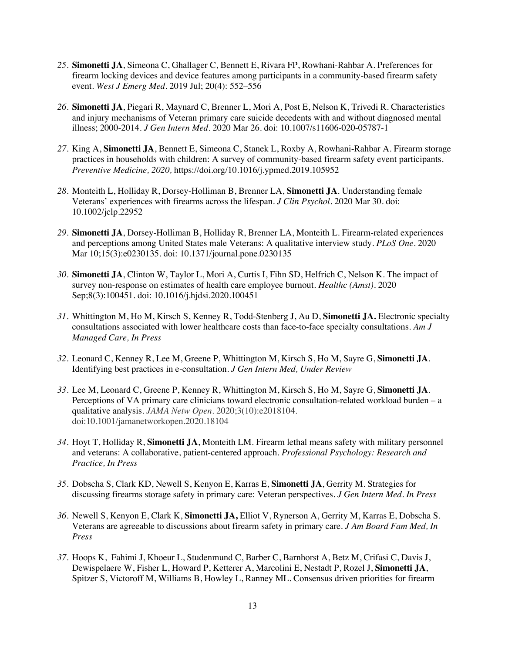- *25.* **Simonetti JA**, Simeona C, Ghallager C, Bennett E, Rivara FP, Rowhani-Rahbar A. Preferences for firearm locking devices and device features among participants in a community-based firearm safety event. *West J Emerg Med.* 2019 Jul; 20(4): 552–556
- *26.* **Simonetti JA**, Piegari R, Maynard C, Brenner L, Mori A, Post E, Nelson K, Trivedi R. Characteristics and injury mechanisms of Veteran primary care suicide decedents with and without diagnosed mental illness; 2000-2014. *J Gen Intern Med.* 2020 Mar 26. doi: 10.1007/s11606-020-05787-1
- *27.* King A, **Simonetti JA**, Bennett E, Simeona C, Stanek L, Roxby A, Rowhani-Rahbar A. Firearm storage practices in households with children: A survey of community-based firearm safety event participants. *Preventive Medicine, 2020,* https://doi.org/10.1016/j.ypmed.2019.105952
- *28.* Monteith L, Holliday R, Dorsey-Holliman B, Brenner LA, **Simonetti JA**. Understanding female Veterans' experiences with firearms across the lifespan. *J Clin Psychol.* 2020 Mar 30. doi: 10.1002/jclp.22952
- *29.* **Simonetti JA**, Dorsey-Holliman B, Holliday R, Brenner LA, Monteith L. Firearm-related experiences and perceptions among United States male Veterans: A qualitative interview study. *PLoS One.* 2020 Mar 10;15(3):e0230135. doi: 10.1371/journal.pone.0230135
- *30.* **Simonetti JA**, Clinton W, Taylor L, Mori A, Curtis I, Fihn SD, Helfrich C, Nelson K. The impact of survey non-response on estimates of health care employee burnout. *Healthc (Amst).* 2020 Sep;8(3):100451. doi: 10.1016/j.hjdsi.2020.100451
- *31.* Whittington M, Ho M, Kirsch S, Kenney R, Todd-Stenberg J, Au D, **Simonetti JA.** Electronic specialty consultations associated with lower healthcare costs than face-to-face specialty consultations. *Am J Managed Care, In Press*
- *32.* Leonard C, Kenney R, Lee M, Greene P, Whittington M, Kirsch S, Ho M, Sayre G, **Simonetti JA**. Identifying best practices in e-consultation. *J Gen Intern Med, Under Review*
- *33.* Lee M, Leonard C, Greene P, Kenney R, Whittington M, Kirsch S, Ho M, Sayre G, **Simonetti JA**. Perceptions of VA primary care clinicians toward electronic consultation-related workload burden – a qualitative analysis. *JAMA Netw Open.* 2020;3(10):e2018104. doi:10.1001/jamanetworkopen.2020.18104
- *34.* Hoyt T, Holliday R, **Simonetti JA**, Monteith LM. Firearm lethal means safety with military personnel and veterans: A collaborative, patient-centered approach. *Professional Psychology: Research and Practice, In Press*
- *35.* Dobscha S, Clark KD, Newell S, Kenyon E, Karras E, **Simonetti JA**, Gerrity M. Strategies for discussing firearms storage safety in primary care: Veteran perspectives. *J Gen Intern Med. In Press*
- *36.* Newell S, Kenyon E, Clark K, **Simonetti JA,** Elliot V, Rynerson A, Gerrity M, Karras E, Dobscha S. Veterans are agreeable to discussions about firearm safety in primary care*. J Am Board Fam Med, In Press*
- *37.* Hoops K, Fahimi J, Khoeur L, Studenmund C, Barber C, Barnhorst A, Betz M, Crifasi C, Davis J, Dewispelaere W, Fisher L, Howard P, Ketterer A, Marcolini E, Nestadt P, Rozel J, **Simonetti JA**, Spitzer S, Victoroff M, Williams B, Howley L, Ranney ML. Consensus driven priorities for firearm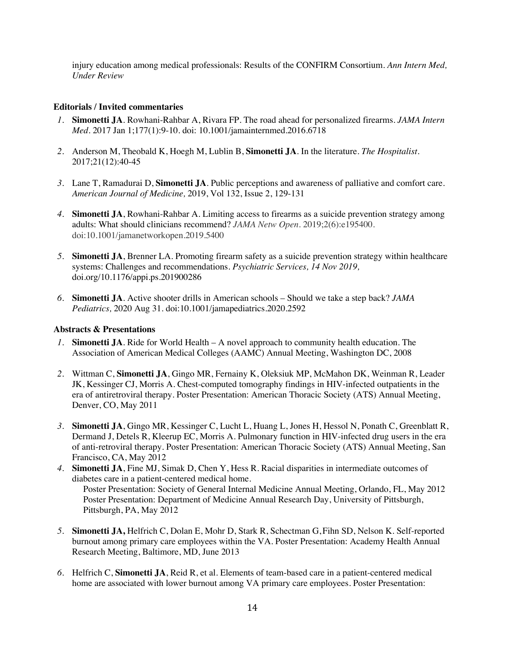injury education among medical professionals: Results of the CONFIRM Consortium. *Ann Intern Med, Under Review*

#### **Editorials / Invited commentaries**

- *1.* **Simonetti JA**. Rowhani-Rahbar A, Rivara FP. The road ahead for personalized firearms. *JAMA Intern Med*. 2017 Jan 1;177(1):9-10. doi: 10.1001/jamainternmed.2016.6718
- *2.* Anderson M, Theobald K, Hoegh M, Lublin B, **Simonetti JA**. In the literature. *The Hospitalist.*  2017;21(12):40-45
- *3.* Lane T, Ramadurai D, **Simonetti JA**. Public perceptions and awareness of palliative and comfort care. *American Journal of Medicine,* 2019, Vol 132, Issue 2, 129-131
- *4.* **Simonetti JA**, Rowhani-Rahbar A. Limiting access to firearms as a suicide prevention strategy among adults: What should clinicians recommend? *JAMA Netw Open.* 2019;2(6):e195400. doi:10.1001/jamanetworkopen.2019.5400
- *5.* **Simonetti JA**, Brenner LA. Promoting firearm safety as a suicide prevention strategy within healthcare systems: Challenges and recommendations. *Psychiatric Services, 14 Nov 2019,*  doi.org/10.1176/appi.ps.201900286
- *6.* **Simonetti JA**. Active shooter drills in American schools Should we take a step back? *JAMA Pediatrics,* 2020 Aug 31. doi:10.1001/jamapediatrics.2020.2592

#### **Abstracts & Presentations**

- *1.* **Simonetti JA**. Ride for World Health A novel approach to community health education. The Association of American Medical Colleges (AAMC) Annual Meeting, Washington DC, 2008
- *2.* Wittman C, **Simonetti JA**, Gingo MR, Fernainy K, Oleksiuk MP, McMahon DK, Weinman R, Leader JK, Kessinger CJ, Morris A. Chest-computed tomography findings in HIV-infected outpatients in the era of antiretroviral therapy. Poster Presentation: American Thoracic Society (ATS) Annual Meeting, Denver, CO, May 2011
- *3.* **Simonetti JA**, Gingo MR, Kessinger C, Lucht L, Huang L, Jones H, Hessol N, Ponath C, Greenblatt R, Dermand J, Detels R, Kleerup EC, Morris A. Pulmonary function in HIV-infected drug users in the era of anti-retroviral therapy. Poster Presentation: American Thoracic Society (ATS) Annual Meeting, San Francisco, CA, May 2012
- *4.* **Simonetti JA**, Fine MJ, Simak D, Chen Y, Hess R. Racial disparities in intermediate outcomes of diabetes care in a patient-centered medical home. Poster Presentation: Society of General Internal Medicine Annual Meeting, Orlando, FL, May 2012 Poster Presentation: Department of Medicine Annual Research Day, University of Pittsburgh, Pittsburgh, PA, May 2012
- *5.* **Simonetti JA,** Helfrich C, Dolan E, Mohr D, Stark R, Schectman G, Fihn SD, Nelson K. Self-reported burnout among primary care employees within the VA. Poster Presentation: Academy Health Annual Research Meeting, Baltimore, MD, June 2013
- *6.* Helfrich C, **Simonetti JA**, Reid R, et al. Elements of team-based care in a patient-centered medical home are associated with lower burnout among VA primary care employees. Poster Presentation: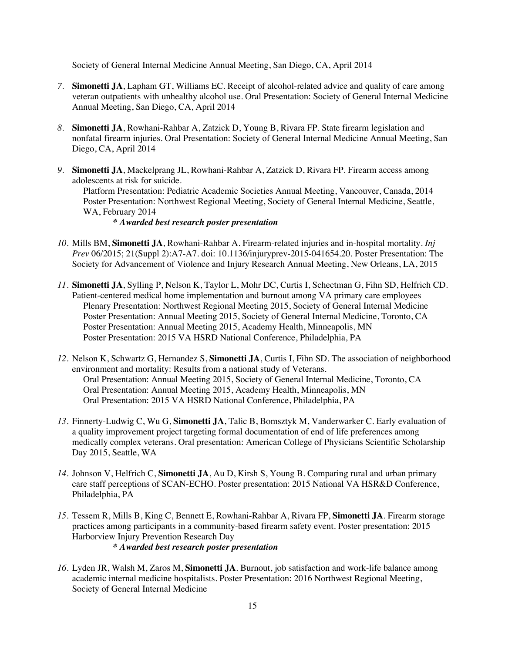Society of General Internal Medicine Annual Meeting, San Diego, CA, April 2014

- *7.* **Simonetti JA**, Lapham GT, Williams EC. Receipt of alcohol-related advice and quality of care among veteran outpatients with unhealthy alcohol use. Oral Presentation: Society of General Internal Medicine Annual Meeting, San Diego, CA, April 2014
- *8.* **Simonetti JA**, Rowhani-Rahbar A, Zatzick D, Young B, Rivara FP. State firearm legislation and nonfatal firearm injuries. Oral Presentation: Society of General Internal Medicine Annual Meeting, San Diego, CA, April 2014
- *9.* **Simonetti JA**, Mackelprang JL, Rowhani-Rahbar A, Zatzick D, Rivara FP. Firearm access among adolescents at risk for suicide. Platform Presentation: Pediatric Academic Societies Annual Meeting, Vancouver, Canada, 2014 Poster Presentation: Northwest Regional Meeting, Society of General Internal Medicine, Seattle, WA, February 2014 *\* Awarded best research poster presentation*
- *10.* Mills BM, **Simonetti JA**, Rowhani-Rahbar A. Firearm-related injuries and in-hospital mortality. *Inj Prev* 06/2015; 21(Suppl 2):A7-A7. doi: 10.1136/injuryprev-2015-041654.20. Poster Presentation: The Society for Advancement of Violence and Injury Research Annual Meeting, New Orleans, LA, 2015
- *11.* **Simonetti JA**, Sylling P, Nelson K, Taylor L, Mohr DC, Curtis I, Schectman G, Fihn SD, Helfrich CD. Patient-centered medical home implementation and burnout among VA primary care employees Plenary Presentation: Northwest Regional Meeting 2015, Society of General Internal Medicine Poster Presentation: Annual Meeting 2015, Society of General Internal Medicine, Toronto, CA Poster Presentation: Annual Meeting 2015, Academy Health, Minneapolis, MN Poster Presentation: 2015 VA HSRD National Conference, Philadelphia, PA
- *12.* Nelson K, Schwartz G, Hernandez S, **Simonetti JA**, Curtis I, Fihn SD. The association of neighborhood environment and mortality: Results from a national study of Veterans. Oral Presentation: Annual Meeting 2015, Society of General Internal Medicine, Toronto, CA Oral Presentation: Annual Meeting 2015, Academy Health, Minneapolis, MN Oral Presentation: 2015 VA HSRD National Conference, Philadelphia, PA
- *13.* Finnerty-Ludwig C, Wu G, **Simonetti JA**, Talic B, Bomsztyk M, Vanderwarker C. Early evaluation of a quality improvement project targeting formal documentation of end of life preferences among medically complex veterans. Oral presentation: American College of Physicians Scientific Scholarship Day 2015, Seattle, WA
- *14.* Johnson V, Helfrich C, **Simonetti JA**, Au D, Kirsh S, Young B. Comparing rural and urban primary care staff perceptions of SCAN-ECHO. Poster presentation: 2015 National VA HSR&D Conference, Philadelphia, PA
- *15.* Tessem R, Mills B, King C, Bennett E, Rowhani-Rahbar A, Rivara FP, **Simonetti JA**. Firearm storage practices among participants in a community-based firearm safety event. Poster presentation: 2015 Harborview Injury Prevention Research Day *\* Awarded best research poster presentation*
- *16.* Lyden JR, Walsh M, Zaros M, **Simonetti JA**. Burnout, job satisfaction and work-life balance among academic internal medicine hospitalists. Poster Presentation: 2016 Northwest Regional Meeting, Society of General Internal Medicine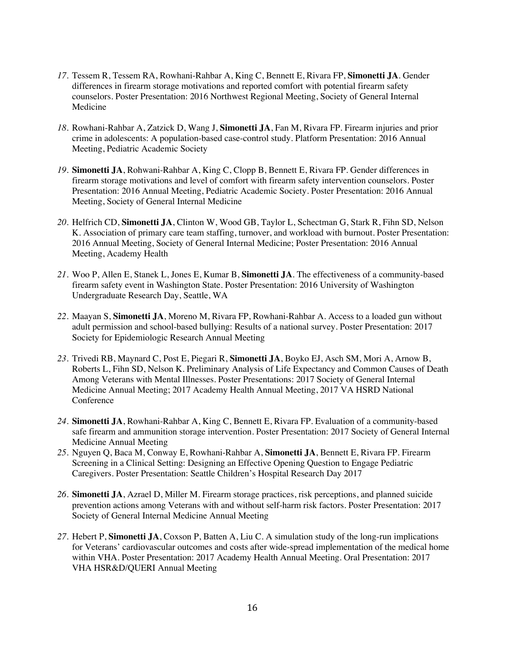- *17.* Tessem R, Tessem RA, Rowhani-Rahbar A, King C, Bennett E, Rivara FP, **Simonetti JA**. Gender differences in firearm storage motivations and reported comfort with potential firearm safety counselors. Poster Presentation: 2016 Northwest Regional Meeting, Society of General Internal Medicine
- *18.* Rowhani-Rahbar A, Zatzick D, Wang J, **Simonetti JA**, Fan M, Rivara FP. Firearm injuries and prior crime in adolescents: A population-based case-control study. Platform Presentation: 2016 Annual Meeting, Pediatric Academic Society
- *19.* **Simonetti JA**, Rohwani-Rahbar A, King C, Clopp B, Bennett E, Rivara FP. Gender differences in firearm storage motivations and level of comfort with firearm safety intervention counselors. Poster Presentation: 2016 Annual Meeting, Pediatric Academic Society. Poster Presentation: 2016 Annual Meeting, Society of General Internal Medicine
- *20.* Helfrich CD, **Simonetti JA**, Clinton W, Wood GB, Taylor L, Schectman G, Stark R, Fihn SD, Nelson K. Association of primary care team staffing, turnover, and workload with burnout. Poster Presentation: 2016 Annual Meeting, Society of General Internal Medicine; Poster Presentation: 2016 Annual Meeting, Academy Health
- *21.* Woo P, Allen E, Stanek L, Jones E, Kumar B, **Simonetti JA**. The effectiveness of a community-based firearm safety event in Washington State. Poster Presentation: 2016 University of Washington Undergraduate Research Day, Seattle, WA
- *22.* Maayan S, **Simonetti JA**, Moreno M, Rivara FP, Rowhani-Rahbar A. Access to a loaded gun without adult permission and school-based bullying: Results of a national survey. Poster Presentation: 2017 Society for Epidemiologic Research Annual Meeting
- *23.* Trivedi RB, Maynard C, Post E, Piegari R, **Simonetti JA**, Boyko EJ, Asch SM, Mori A, Arnow B, Roberts L, Fihn SD, Nelson K. Preliminary Analysis of Life Expectancy and Common Causes of Death Among Veterans with Mental Illnesses. Poster Presentations: 2017 Society of General Internal Medicine Annual Meeting; 2017 Academy Health Annual Meeting, 2017 VA HSRD National **Conference**
- *24.* **Simonetti JA**, Rowhani-Rahbar A, King C, Bennett E, Rivara FP. Evaluation of a community-based safe firearm and ammunition storage intervention. Poster Presentation: 2017 Society of General Internal Medicine Annual Meeting
- *25.* Nguyen Q, Baca M, Conway E, Rowhani-Rahbar A, **Simonetti JA**, Bennett E, Rivara FP. Firearm Screening in a Clinical Setting: Designing an Effective Opening Question to Engage Pediatric Caregivers. Poster Presentation: Seattle Children's Hospital Research Day 2017
- *26.* **Simonetti JA**, Azrael D, Miller M. Firearm storage practices, risk perceptions, and planned suicide prevention actions among Veterans with and without self-harm risk factors. Poster Presentation: 2017 Society of General Internal Medicine Annual Meeting
- *27.* Hebert P, **Simonetti JA**, Coxson P, Batten A, Liu C. A simulation study of the long-run implications for Veterans' cardiovascular outcomes and costs after wide-spread implementation of the medical home within VHA. Poster Presentation: 2017 Academy Health Annual Meeting. Oral Presentation: 2017 VHA HSR&D/QUERI Annual Meeting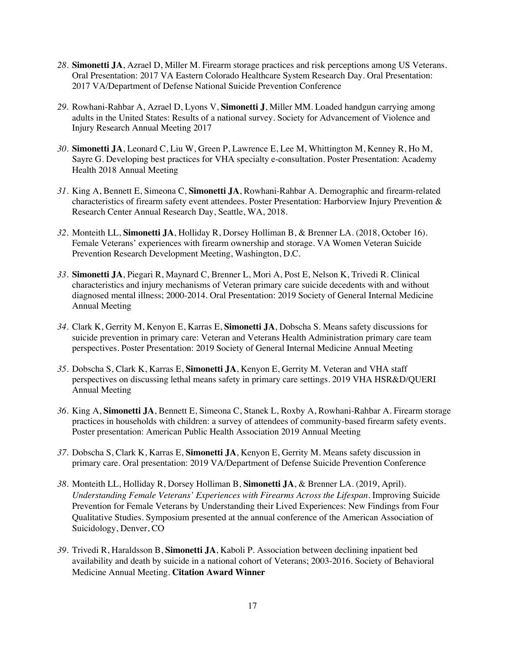- *28.* **Simonetti JA**, Azrael D, Miller M. Firearm storage practices and risk perceptions among US Veterans. Oral Presentation: 2017 VA Eastern Colorado Healthcare System Research Day. Oral Presentation: 2017 VA/Department of Defense National Suicide Prevention Conference
- *29.* Rowhani-Rahbar A, Azrael D, Lyons V, **Simonetti J**, Miller MM. Loaded handgun carrying among adults in the United States: Results of a national survey. Society for Advancement of Violence and Injury Research Annual Meeting 2017
- *30.* **Simonetti JA**, Leonard C, Liu W, Green P, Lawrence E, Lee M, Whittington M, Kenney R, Ho M, Sayre G. Developing best practices for VHA specialty e-consultation. Poster Presentation: Academy Health 2018 Annual Meeting
- *31.* King A, Bennett E, Simeona C, **Simonetti JA**, Rowhani-Rahbar A. Demographic and firearm-related characteristics of firearm safety event attendees. Poster Presentation: Harborview Injury Prevention & Research Center Annual Research Day, Seattle, WA, 2018.
- *32.* Monteith LL, **Simonetti JA**, Holliday R, Dorsey Holliman B, & Brenner LA. (2018, October 16). Female Veterans' experiences with firearm ownership and storage. VA Women Veteran Suicide Prevention Research Development Meeting, Washington, D.C.
- *33.* **Simonetti JA**, Piegari R, Maynard C, Brenner L, Mori A, Post E, Nelson K, Trivedi R. Clinical characteristics and injury mechanisms of Veteran primary care suicide decedents with and without diagnosed mental illness; 2000-2014. Oral Presentation: 2019 Society of General Internal Medicine Annual Meeting
- *34.* Clark K, Gerrity M, Kenyon E, Karras E, **Simonetti JA**, Dobscha S. Means safety discussions for suicide prevention in primary care: Veteran and Veterans Health Administration primary care team perspectives. Poster Presentation: 2019 Society of General Internal Medicine Annual Meeting
- *35.* Dobscha S, Clark K, Karras E, **Simonetti JA**, Kenyon E, Gerrity M. Veteran and VHA staff perspectives on discussing lethal means safety in primary care settings. 2019 VHA HSR&D/QUERI Annual Meeting
- *36.* King A, **Simonetti JA**, Bennett E, Simeona C, Stanek L, Roxby A, Rowhani-Rahbar A. Firearm storage practices in households with children: a survey of attendees of community-based firearm safety events. Poster presentation: American Public Health Association 2019 Annual Meeting
- *37.* Dobscha S, Clark K, Karras E, **Simonetti JA**, Kenyon E, Gerrity M. Means safety discussion in primary care. Oral presentation: 2019 VA/Department of Defense Suicide Prevention Conference
- *38.* Monteith LL, Holliday R, Dorsey Holliman B, **Simonetti JA**, & Brenner LA. (2019, April). *Understanding Female Veterans' Experiences with Firearms Across the Lifespan.* Improving Suicide Prevention for Female Veterans by Understanding their Lived Experiences: New Findings from Four Qualitative Studies. Symposium presented at the annual conference of the American Association of Suicidology, Denver, CO
- *39.* Trivedi R, Haraldsson B, **Simonetti JA**, Kaboli P. Association between declining inpatient bed availability and death by suicide in a national cohort of Veterans; 2003-2016. Society of Behavioral Medicine Annual Meeting. **Citation Award Winner**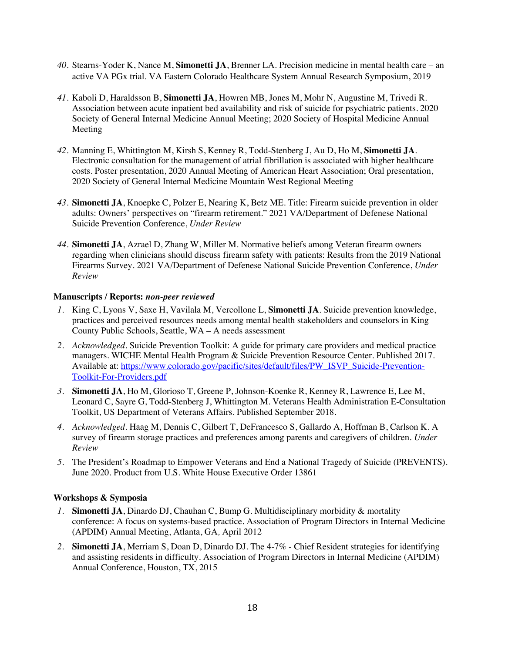- *40.* Stearns-Yoder K, Nance M, **Simonetti JA**, Brenner LA. Precision medicine in mental health care an active VA PGx trial. VA Eastern Colorado Healthcare System Annual Research Symposium, 2019
- *41.* Kaboli D, Haraldsson B, **Simonetti JA**, Howren MB, Jones M, Mohr N, Augustine M, Trivedi R. Association between acute inpatient bed availability and risk of suicide for psychiatric patients. 2020 Society of General Internal Medicine Annual Meeting; 2020 Society of Hospital Medicine Annual Meeting
- *42.* Manning E, Whittington M, Kirsh S, Kenney R, Todd-Stenberg J, Au D, Ho M, **Simonetti JA**. Electronic consultation for the management of atrial fibrillation is associated with higher healthcare costs. Poster presentation, 2020 Annual Meeting of American Heart Association; Oral presentation, 2020 Society of General Internal Medicine Mountain West Regional Meeting
- *43.* **Simonetti JA**, Knoepke C, Polzer E, Nearing K, Betz ME. Title: Firearm suicide prevention in older adults: Owners' perspectives on "firearm retirement." 2021 VA/Department of Defenese National Suicide Prevention Conference, *Under Review*
- *44.* **Simonetti JA**, Azrael D, Zhang W, Miller M. Normative beliefs among Veteran firearm owners regarding when clinicians should discuss firearm safety with patients: Results from the 2019 National Firearms Survey. 2021 VA/Department of Defenese National Suicide Prevention Conference, *Under Review*

#### **Manuscripts / Reports:** *non-peer reviewed*

- *1.* King C, Lyons V, Saxe H, Vavilala M, Vercollone L, **Simonetti JA**. Suicide prevention knowledge, practices and perceived resources needs among mental health stakeholders and counselors in King County Public Schools, Seattle, WA – A needs assessment
- *2. Acknowledged*. Suicide Prevention Toolkit: A guide for primary care providers and medical practice managers. WICHE Mental Health Program & Suicide Prevention Resource Center. Published 2017. Available at: https://www.colorado.gov/pacific/sites/default/files/PW\_ISVP\_Suicide-Prevention-Toolkit-For-Providers.pdf
- *3.* **Simonetti JA**, Ho M, Glorioso T, Greene P, Johnson-Koenke R, Kenney R, Lawrence E, Lee M, Leonard C, Sayre G, Todd-Stenberg J, Whittington M. Veterans Health Administration E-Consultation Toolkit, US Department of Veterans Affairs. Published September 2018.
- *4. Acknowledged.* Haag M, Dennis C, Gilbert T, DeFrancesco S, Gallardo A, Hoffman B, Carlson K. A survey of firearm storage practices and preferences among parents and caregivers of children. *Under Review*
- *5.* The President's Roadmap to Empower Veterans and End a National Tragedy of Suicide (PREVENTS). June 2020. Product from U.S. White House Executive Order 13861

#### **Workshops & Symposia**

- *1.* **Simonetti JA**, Dinardo DJ, Chauhan C, Bump G. Multidisciplinary morbidity & mortality conference: A focus on systems-based practice. Association of Program Directors in Internal Medicine (APDIM) Annual Meeting, Atlanta, GA*,* April 2012
- *2.* **Simonetti JA**, Merriam S, Doan D, Dinardo DJ. The 4-7% Chief Resident strategies for identifying and assisting residents in difficulty. Association of Program Directors in Internal Medicine (APDIM) Annual Conference, Houston, TX, 2015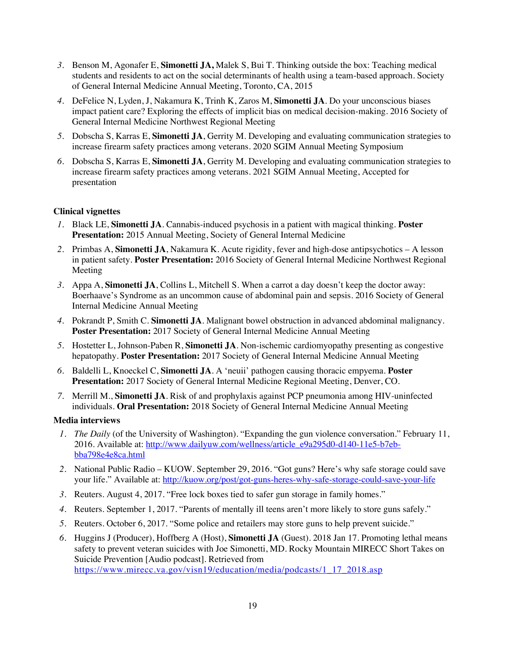- *3.* Benson M, Agonafer E, **Simonetti JA,** Malek S, Bui T. Thinking outside the box: Teaching medical students and residents to act on the social determinants of health using a team-based approach. Society of General Internal Medicine Annual Meeting, Toronto, CA, 2015
- *4.* DeFelice N, Lyden, J, Nakamura K, Trinh K, Zaros M, **Simonetti JA**. Do your unconscious biases impact patient care? Exploring the effects of implicit bias on medical decision-making. 2016 Society of General Internal Medicine Northwest Regional Meeting
- *5.* Dobscha S, Karras E, **Simonetti JA**, Gerrity M. Developing and evaluating communication strategies to increase firearm safety practices among veterans. 2020 SGIM Annual Meeting Symposium
- *6.* Dobscha S, Karras E, **Simonetti JA**, Gerrity M. Developing and evaluating communication strategies to increase firearm safety practices among veterans. 2021 SGIM Annual Meeting, Accepted for presentation

### **Clinical vignettes**

- *1.* Black LE, **Simonetti JA**. Cannabis-induced psychosis in a patient with magical thinking. **Poster Presentation:** 2015 Annual Meeting, Society of General Internal Medicine
- *2.* Primbas A, **Simonetti JA**, Nakamura K. Acute rigidity, fever and high-dose antipsychotics A lesson in patient safety. **Poster Presentation:** 2016 Society of General Internal Medicine Northwest Regional Meeting
- *3.* Appa A, **Simonetti JA**, Collins L, Mitchell S. When a carrot a day doesn't keep the doctor away: Boerhaave's Syndrome as an uncommon cause of abdominal pain and sepsis. 2016 Society of General Internal Medicine Annual Meeting
- *4.* Pokrandt P, Smith C. **Simonetti JA**. Malignant bowel obstruction in advanced abdominal malignancy. **Poster Presentation:** 2017 Society of General Internal Medicine Annual Meeting
- *5.* Hostetter L, Johnson-Paben R, **Simonetti JA**. Non-ischemic cardiomyopathy presenting as congestive hepatopathy. **Poster Presentation:** 2017 Society of General Internal Medicine Annual Meeting
- *6.* Baldelli L, Knoeckel C, **Simonetti JA**. A 'neuii' pathogen causing thoracic empyema. **Poster Presentation:** 2017 Society of General Internal Medicine Regional Meeting, Denver, CO.
- *7.* Merrill M., **Simonetti JA**. Risk of and prophylaxis against PCP pneumonia among HIV-uninfected individuals. **Oral Presentation:** 2018 Society of General Internal Medicine Annual Meeting

#### **Media interviews**

- *1. The Daily* (of the University of Washington). "Expanding the gun violence conversation." February 11, 2016. Available at: http://www.dailyuw.com/wellness/article\_e9a295d0-d140-11e5-b7ebbba798e4e8ca.html
- *2.* National Public Radio KUOW. September 29, 2016. "Got guns? Here's why safe storage could save your life." Available at: http://kuow.org/post/got-guns-heres-why-safe-storage-could-save-your-life
- *3.* Reuters. August 4, 2017. "Free lock boxes tied to safer gun storage in family homes."
- *4.* Reuters. September 1, 2017. "Parents of mentally ill teens aren't more likely to store guns safely."
- *5.* Reuters. October 6, 2017. "Some police and retailers may store guns to help prevent suicide."
- *6.* Huggins J (Producer), Hoffberg A (Host), **Simonetti JA** (Guest). 2018 Jan 17. Promoting lethal means safety to prevent veteran suicides with Joe Simonetti, MD. Rocky Mountain MIRECC Short Takes on Suicide Prevention [Audio podcast]. Retrieved from https://www.mirecc.va.gov/visn19/education/media/podcasts/1\_17\_2018.asp

19